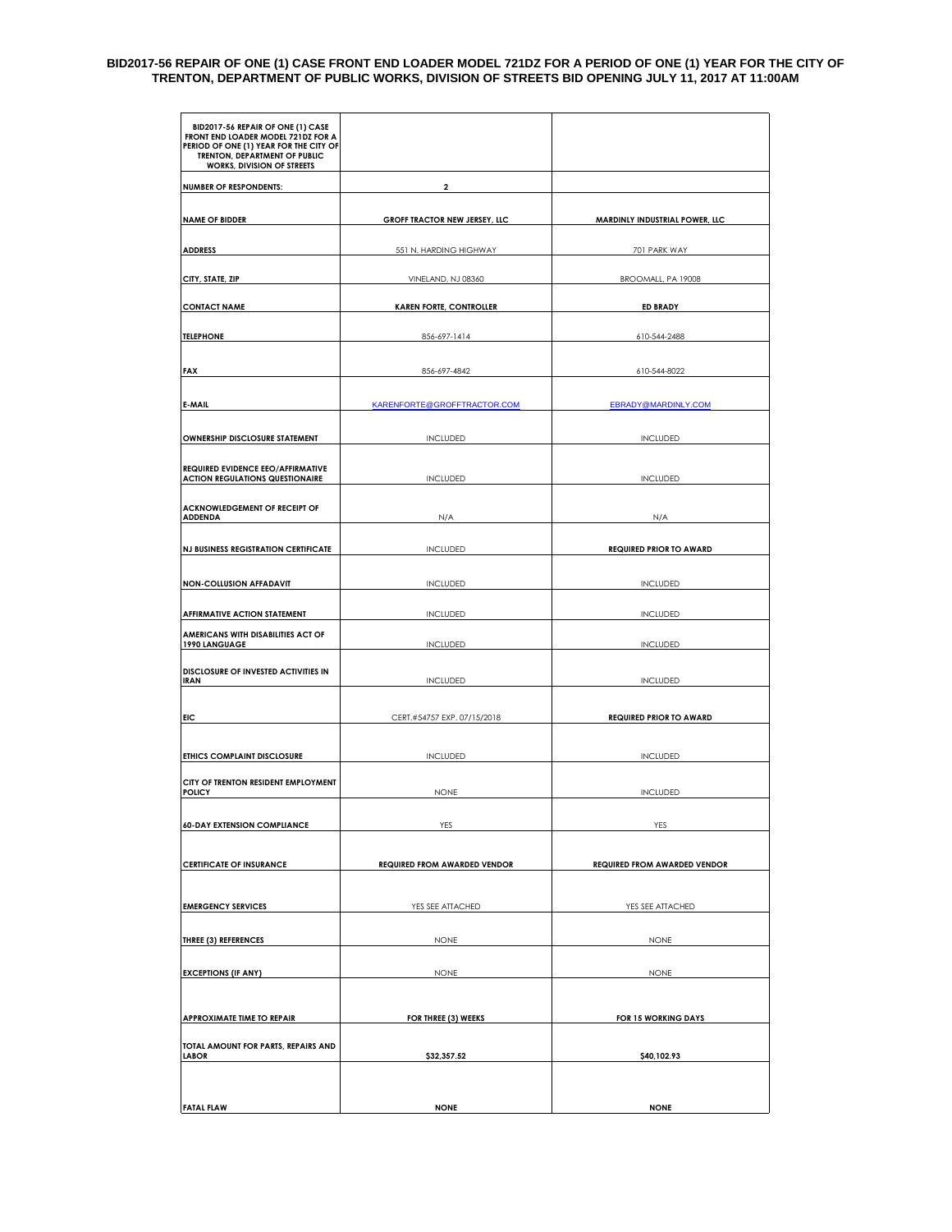#### **BID2017-56 REPAIR OF ONE (1) CASE FRONT END LOADER MODEL 721DZ FOR A PERIOD OF ONE (1) YEAR FOR THE CITY OF TRENTON, DEPARTMENT OF PUBLIC WORKS, DIVISION OF STREETS BID OPENING JULY 11, 2017 AT 11:00AM**

| BID2017-56 REPAIR OF ONE (1) CASE<br>FRONT END LOADER MODEL 721DZ FOR A<br>PERIOD OF ONE (1) YEAR FOR THE CITY OF<br>TRENTON, DEPARTMENT OF PUBLIC<br>WORKS, DIVISION OF STREETS |                                     |                                     |  |  |  |
|----------------------------------------------------------------------------------------------------------------------------------------------------------------------------------|-------------------------------------|-------------------------------------|--|--|--|
| <b>NUMBER OF RESPONDENTS:</b>                                                                                                                                                    | 2                                   |                                     |  |  |  |
| <b>NAME OF BIDDER</b>                                                                                                                                                            | GROFF TRACTOR NEW JERSEY, LLC       | MARDINLY INDUSTRIAL POWER, LLC      |  |  |  |
| <b>ADDRESS</b>                                                                                                                                                                   | 551 N. HARDING HIGHWAY              | 701 PARK WAY                        |  |  |  |
| CITY, STATE, ZIP                                                                                                                                                                 | VINELAND, NJ 08360                  | BROOMALL, PA 19008                  |  |  |  |
| <b>CONTACT NAME</b>                                                                                                                                                              | <b>KAREN FORTE, CONTROLLER</b>      | <b>ED BRADY</b>                     |  |  |  |
| <b>TELEPHONE</b>                                                                                                                                                                 | 856-697-1414                        | 610-544-2488                        |  |  |  |
| <b>FAX</b>                                                                                                                                                                       | 856-697-4842                        | 610-544-8022                        |  |  |  |
|                                                                                                                                                                                  |                                     |                                     |  |  |  |
| <b>E-MAIL</b>                                                                                                                                                                    | KARENFORTE@GROFFTRACTOR.COM         | <b>EBRADY@MARDINLY.COM</b>          |  |  |  |
| OWNERSHIP DISCLOSURE STATEMENT                                                                                                                                                   | <b>INCLUDED</b>                     | <b>INCLUDED</b>                     |  |  |  |
| <b>REQUIRED EVIDENCE EEO/AFFIRMATIVE</b>                                                                                                                                         |                                     |                                     |  |  |  |
| <b>ACTION REGULATIONS QUESTIONAIRE</b>                                                                                                                                           | <b>INCLUDED</b>                     | <b>INCLUDED</b>                     |  |  |  |
| <b>ACKNOWLEDGEMENT OF RECEIPT OF</b><br><b>ADDENDA</b>                                                                                                                           | N/A                                 | N/A                                 |  |  |  |
| <b>NJ BUSINESS REGISTRATION CERTIFICATE</b>                                                                                                                                      | <b>INCLUDED</b>                     | <b>REQUIRED PRIOR TO AWARD</b>      |  |  |  |
| <b>NON-COLLUSION AFFADAVIT</b>                                                                                                                                                   | <b>INCLUDED</b>                     | <b>INCLUDED</b>                     |  |  |  |
| <b>AFFIRMATIVE ACTION STATEMENT</b>                                                                                                                                              | <b>INCLUDED</b>                     | <b>INCLUDED</b>                     |  |  |  |
| AMERICANS WITH DISABILITIES ACT OF<br>1990 LANGUAGE                                                                                                                              | <b>INCLUDED</b>                     | <b>INCLUDED</b><br><b>INCLUDED</b>  |  |  |  |
| DISCLOSURE OF INVESTED ACTIVITIES IN<br><b>IRAN</b>                                                                                                                              | <b>INCLUDED</b>                     |                                     |  |  |  |
|                                                                                                                                                                                  |                                     |                                     |  |  |  |
| EIC                                                                                                                                                                              | CERT.#54757 EXP. 07/15/2018         | <b>REQUIRED PRIOR TO AWARD</b>      |  |  |  |
| <b>ETHICS COMPLAINT DISCLOSURE</b>                                                                                                                                               | <b>INCLUDED</b>                     | <b>INCLUDED</b>                     |  |  |  |
| CITY OF TRENTON RESIDENT EMPLOYMENT<br><b>POLICY</b>                                                                                                                             | <b>NONE</b>                         | <b>INCLUDED</b>                     |  |  |  |
| <b>60-DAY EXTENSION COMPLIANCE</b>                                                                                                                                               | YES                                 | YES                                 |  |  |  |
|                                                                                                                                                                                  |                                     |                                     |  |  |  |
| <b>CERTIFICATE OF INSURANCE</b>                                                                                                                                                  | <b>REQUIRED FROM AWARDED VENDOR</b> | <b>REQUIRED FROM AWARDED VENDOR</b> |  |  |  |
|                                                                                                                                                                                  |                                     |                                     |  |  |  |
| <b>EMERGENCY SERVICES</b>                                                                                                                                                        | YES SEE ATTACHED                    | YES SEE ATTACHED                    |  |  |  |
| THREE (3) REFERENCES                                                                                                                                                             | <b>NONE</b>                         | <b>NONE</b>                         |  |  |  |
| <b>EXCEPTIONS (IF ANY)</b>                                                                                                                                                       | <b>NONE</b>                         | <b>NONE</b>                         |  |  |  |
|                                                                                                                                                                                  |                                     |                                     |  |  |  |
| <b>APPROXIMATE TIME TO REPAIR</b>                                                                                                                                                | FOR THREE (3) WEEKS                 | FOR 15 WORKING DAYS                 |  |  |  |
| TOTAL AMOUNT FOR PARTS, REPAIRS AND<br><b>LABOR</b>                                                                                                                              | \$32,357.52                         | \$40,102.93                         |  |  |  |
|                                                                                                                                                                                  |                                     |                                     |  |  |  |
| <b>FATAL FLAW</b>                                                                                                                                                                | <b>NONE</b>                         | <b>NONE</b>                         |  |  |  |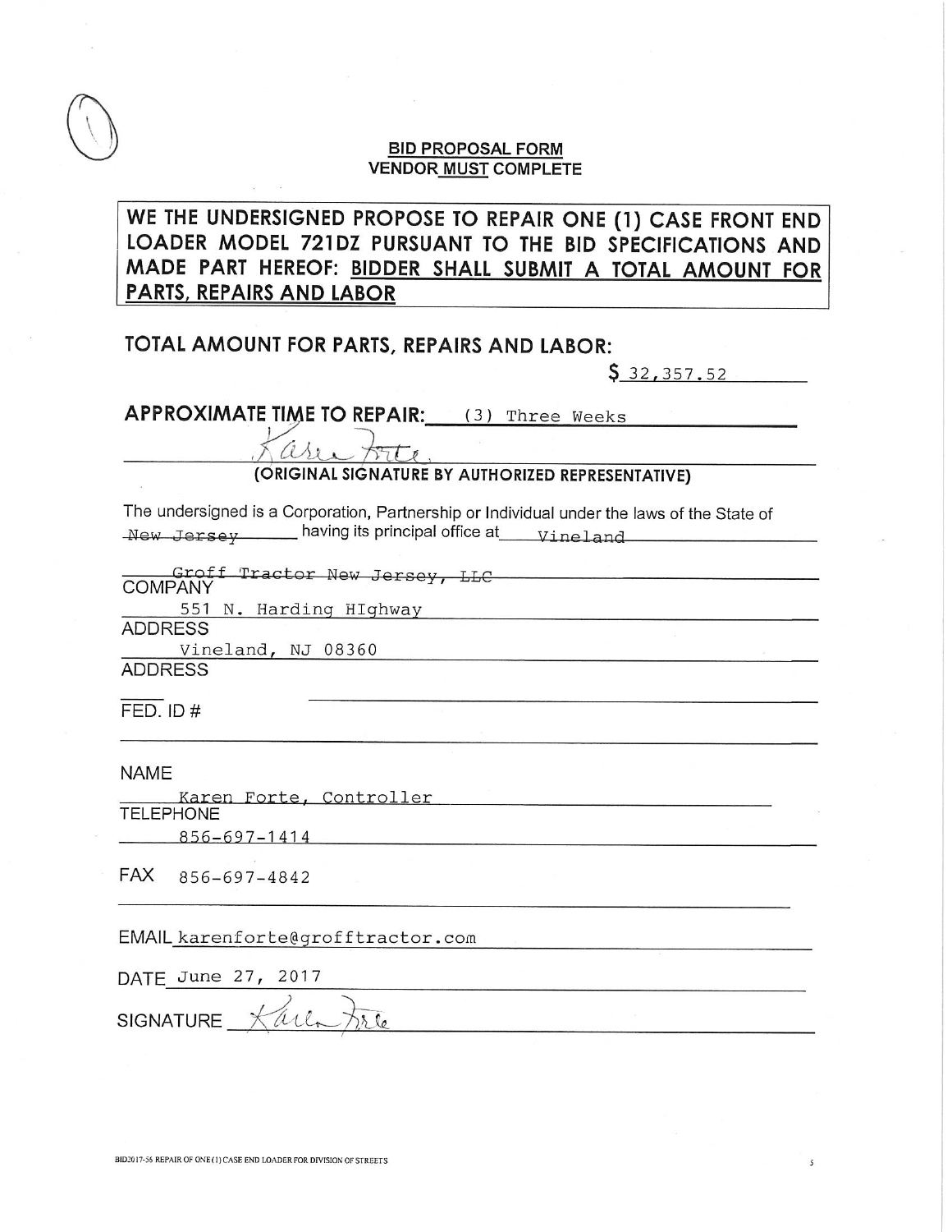### **BID PROPOSAL FORM VENDOR MUST COMPLETE**

# WE THE UNDERSIGNED PROPOSE TO REPAIR ONE (1) CASE FRONT END LOADER MODEL 721DZ PURSUANT TO THE BID SPECIFICATIONS AND MADE PART HEREOF: BIDDER SHALL SUBMIT A TOTAL AMOUNT FOR **PARTS, REPAIRS AND LABOR**

## TOTAL AMOUNT FOR PARTS, REPAIRS AND LABOR:

 $$32,357.52$ 

APPROXIMATE TIME TO REPAIR: (3) Three Weeks

COLLECTE

The undersigned is a Corporation, Partnership or Individual under the laws of the State of New Jersey having its principal office at vineland

|                |                        | - Groff Tractor New Jersey, LLC |  |  |  |
|----------------|------------------------|---------------------------------|--|--|--|
| <b>COMPANY</b> |                        |                                 |  |  |  |
|                | 551 N. Harding HIghway |                                 |  |  |  |
| <b>ADDRESS</b> |                        |                                 |  |  |  |

 $\overline{5}$ 

Vineland, NJ 08360

**ADDRESS** 

 $FED.$  ID  $#$ 

**NAME** 

Karen Forte, Controller **TELEPHONE** 856-697-1414

FAX 856-697-4842

EMAIL karenforte@grofftractor.com

DATE June 27, 2017

SIGNATURE Karl